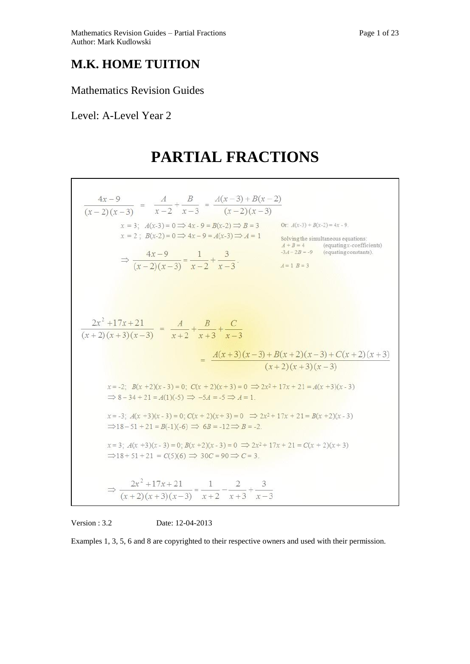## **M.K. HOME TUITION**

### Mathematics Revision Guides

## Level: A-Level Year 2

# **PARTIAL FRACTIONS**



Version : 3.2 Date: 12-04-2013

Examples 1, 3, 5, 6 and 8 are copyrighted to their respective owners and used with their permission.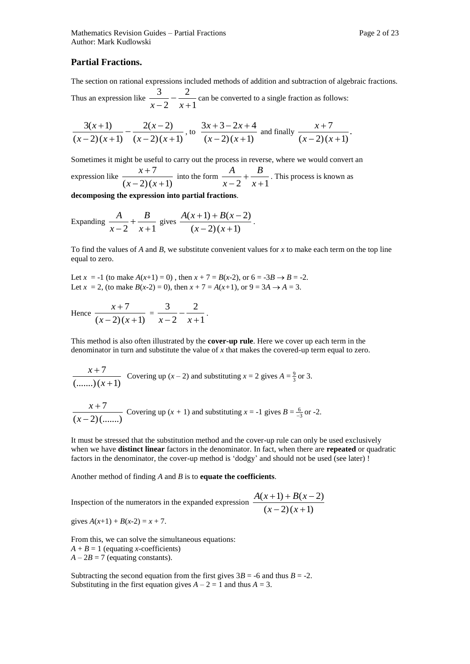#### **Partial Fractions.**

The section on rational expressions included methods of addition and subtraction of algebraic fractions.

Thus an expression like  $\frac{1}{x-2} - \frac{1}{x+1}$ 2 2 3  $^{+}$  $\overline{a}$  $\frac{z}{x-2} - \frac{z}{x+1}$  can be converted to a single fraction as follows:

$$
\frac{3(x+1)}{(x-2)(x+1)} - \frac{2(x-2)}{(x-2)(x+1)}
$$
, to 
$$
\frac{3x+3-2x+4}{(x-2)(x+1)}
$$
 and finally 
$$
\frac{x+7}{(x-2)(x+1)}
$$
.

Sometimes it might be useful to carry out the process in reverse, where we would convert an expression like  $\frac{(x-2)(x+1)}{(x-2)(x+1)}$ 7  $(x+2)(x+$  $^{+}$  $(x-2)(x)$  $\frac{x+7}{2(x+1)}$  into the form  $\frac{A}{x-2} + \frac{B}{x+1}$  $^{+}$  *x B x*  $\frac{A}{\cdots} + \frac{B}{\cdots}$ . This process is known as

**decomposing the expression into partial fractions**.

Expanding 
$$
\frac{A}{x-2} + \frac{B}{x+1}
$$
 gives  $\frac{A(x+1) + B(x-2)}{(x-2)(x+1)}$ .

To find the values of *A* and *B*, we substitute convenient values for *x* to make each term on the top line equal to zero.

Let  $x = -1$  (to make  $A(x+1) = 0$ ), then  $x + 7 = B(x-2)$ , or  $6 = -3B \rightarrow B = -2$ . Let  $x = 2$ , (to make  $B(x-2) = 0$ ), then  $x + 7 = A(x+1)$ , or  $9 = 3A \rightarrow A = 3$ .

Hence 
$$
\frac{x+7}{(x-2)(x+1)} = \frac{3}{x-2} - \frac{2}{x+1}.
$$

This method is also often illustrated by the **cover-up rule**. Here we cover up each term in the denominator in turn and substitute the value of *x* that makes the covered-up term equal to zero.

$$
\frac{x+7}{(......)(x+1)}
$$
 Covering up  $(x-2)$  and substituting  $x = 2$  gives  $A = \frac{9}{3}$  or 3.

$$
\frac{x+7}{(x-2)(\dots)}\text{ Covering up } (x+1) \text{ and substituting } x=-1 \text{ gives } B=\frac{6}{-3} \text{ or } -2.
$$

It must be stressed that the substitution method and the cover-up rule can only be used exclusively when we have **distinct linear** factors in the denominator. In fact, when there are **repeated** or quadratic factors in the denominator, the cover-up method is 'dodgy' and should not be used (see later) !

Another method of finding *A* and *B* is to **equate the coefficients**.

Inspection of the numerators in the expanded expression  $\frac{(x-2)(x+1)}{(x-2)(x+1)}$  $(x+1) + B(x-2)$  $(x+2)(x+$  $+1) + B(x (x-2)(x)$  $A(x+1) + B(x)$ 

gives 
$$
A(x+1) + B(x-2) = x + 7
$$
.

From this, we can solve the simultaneous equations:  $A + B = 1$  (equating *x*-coefficients)  $A - 2B = 7$  (equating constants).

Subtracting the second equation from the first gives  $3B = -6$  and thus  $B = -2$ . Substituting in the first equation gives  $A - 2 = 1$  and thus  $A = 3$ .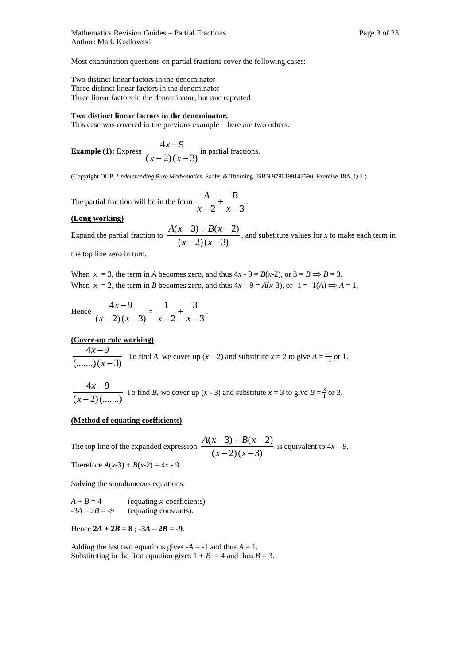Most examination questions on partial fractions cover the following cases:

Two distinct linear factors in the denominator Three distinct linear factors in the denominator Three linear factors in the denominator, but one repeated

#### **Two distinct linear factors in the denominator.**

This case was covered in the previous example – here are two others.

**Example (1):** Express 
$$
\frac{4x-9}{(x-2)(x-3)}
$$
 in partial fractions.

(Copyright OUP, *Understanding Pure Mathematics*, Sadler & Thorning, ISBN 9780199142590, Exercise 18A, Q.1 )

The partial fraction will be in the form  $\frac{1}{x-2} + \frac{2}{x-3}$  $\overline{+}$  *x B x*  $\frac{A}{\cdot} + \frac{B}{\cdot}$ .

#### **(Long working)**

Expand the partial fraction to  $\frac{2(x-2)(x-3)}{(x-2)(x-3)}$  $(x-3) + B(x-2)$  $(x-2)(x -3) + B(x (x-2)(x)$  $\frac{A(x-3)+B(x-2)}{B(x-2)}$ , and substitute values for *x* to make each term in

the top line zero in turn.

When  $x = 3$ , the term in *A* becomes zero, and thus  $4x - 9 = B(x-2)$ , or  $3 = B \implies B = 3$ . When  $x = 2$ , the term in *B* becomes zero, and thus  $4x - 9 = A(x-3)$ , or  $-1 = -1(A) \implies A = 1$ .

Hence 
$$
\frac{4x-9}{(x-2)(x-3)} = \frac{1}{x-2} + \frac{3}{x-3}.
$$

#### **(Cover-up rule working)**

$$
\frac{4x-9}{\text{(......)}(x-3)}
$$
 To find *A*, we cover up  $(x-2)$  and substitute  $x = 2$  to give  $A = \frac{-1}{-1}$  or 1.

 $(x-2)(......)$  $4x - 9$  $\overline{a}$ *x x* To find *B*, we cover up  $(x - 3)$  and substitute  $x = 3$  to give  $B = \frac{3}{1}$  or 3.

#### **(Method of equating coefficients)**

The top line of the expanded expression  $\frac{x(x+2)(x-2)}{(x-2)(x-3)}$  $(x-3) + B(x-2)$  $(x-2)(x -3) + B(x (x-2)(x)$  $\frac{A(x-3)+B(x-2)}{B(x-2)}$  is equivalent to  $4x-9$ . Therefore  $A(x-3) + B(x-2) = 4x - 9$ .

Solving the simultaneous equations:

 $A + B = 4$  (equating *x*-coefficients)  $-3A - 2B = -9$  (equating constants).

Hence  $2A + 2B = 8$ ;  $-3A - 2B = -9$ .

Adding the last two equations gives  $-A = -1$  and thus  $A = 1$ . Substituting in the first equation gives  $1 + B = 4$  and thus  $B = 3$ .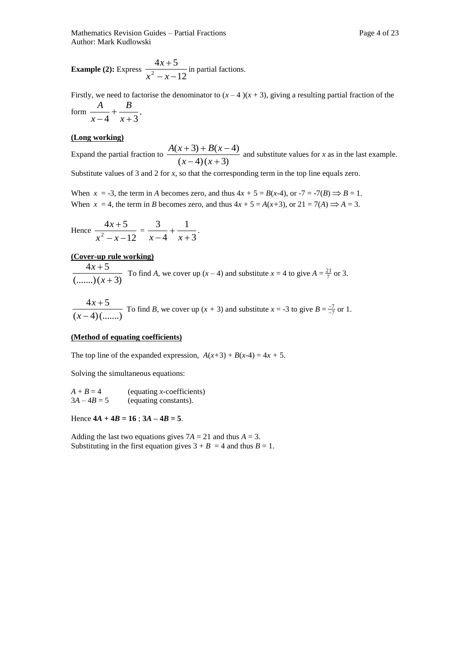**Example (2):** Express  $\frac{12}{x^2 - x - 12}$  $4x + 5$  $2^{2} - x \overline{+}$  $x^2 - x$  $\frac{x+5}{x}$  in partial factions.

Firstly, we need to factorise the denominator to  $(x - 4)(x + 3)$ , giving a resulting partial fraction of the form  $\frac{1}{x-4} + \frac{2}{x+3}$  $\ddot{}$  $-4$   $x$ *B x*  $\frac{A}{\cdot} + \frac{B}{\cdot}$ 

#### **(Long working)**

Expand the partial fraction to  $\frac{f(x+2)+2(x)}{(x-4)(x+3)}$  $(x+3) + B(x-4)$  $(-4)(x +$  $(3) + B(x - )$  $(x-4)(x)$  $\frac{A(x+3)+B(x-4)}{B(x-4)}$  and substitute values for *x* as in the last example.

Substitute values of 3 and 2 for *x*, so that the corresponding term in the top line equals zero.

When  $x = -3$ , the term in *A* becomes zero, and thus  $4x + 5 = B(x-4)$ , or  $-7 = -7(B) \implies B = 1$ . When  $x = 4$ , the term in *B* becomes zero, and thus  $4x + 5 = A(x+3)$ , or  $21 = 7(A) \implies A = 3$ .

Hence 
$$
\frac{4x+5}{x^2-x-12} = \frac{3}{x-4} + \frac{1}{x+3}.
$$

#### **(Cover-up rule working)**

 $(......)(x+3)$  $4x + 5$  $^{+}$  $\overline{+}$ *x x* To find *A*, we cover up  $(x - 4)$  and substitute  $x = 4$  to give  $A = \frac{21}{7}$  or 3.

$$
\frac{4x+5}{(x-4)(\dots)} \text{ To find } B \text{, we cover up } (x+3) \text{ and substitute } x = -3 \text{ to give } B = \frac{-7}{-7} \text{ or } 1.
$$

#### **(Method of equating coefficients)**

The top line of the expanded expression,  $A(x+3) + B(x-4) = 4x + 5$ .

Solving the simultaneous equations:

| $A + B = 4$   | (equating $x$ -coefficients) |
|---------------|------------------------------|
| $3A - 4B = 5$ | (equating constants).        |

Hence  $4A + 4B = 16$ ;  $3A - 4B = 5$ .

Adding the last two equations gives  $7A = 21$  and thus  $A = 3$ . Substituting in the first equation gives  $3 + B = 4$  and thus  $B = 1$ .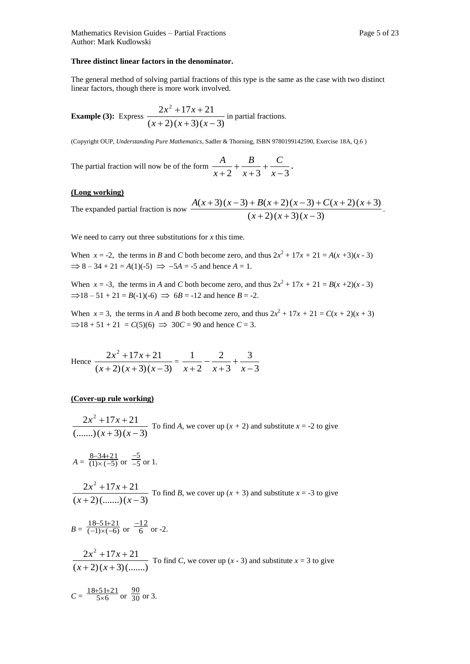#### **Three distinct linear factors in the denominator.**

The general method of solving partial fractions of this type is the same as the case with two distinct linear factors, though there is more work involved.

**Example (3):** Express 
$$
\frac{2x^2 + 17x + 21}{(x+2)(x+3)(x-3)}
$$
 in partial fractions.

(Copyright OUP, *Understanding Pure Mathematics*, Sadler & Thorning, ISBN 9780199142590, Exercise 18A, Q.6 )

The partial fraction will now be of the form  $\frac{1}{x+2} + \frac{2}{x+3} + \frac{3}{x-3}$  $\overline{+}$  $\overline{+}$  $\overline{+}$  $x+2$   $x+3$  *x C x B x*  $\frac{A}{\cdot} + \frac{B}{\cdot} + \frac{C}{\cdot}$ 

#### **(Long working)**

The expanded partial fraction is now 
$$
\frac{A(x+3)(x-3)+B(x+2)(x-3)+C(x+2)(x+3)}{(x+2)(x+3)(x-3)}
$$
.

We need to carry out three substitutions for *x* this time.

When  $x = -2$ , the terms in *B* and *C* both become zero, and thus  $2x^2 + 17x + 21 = A(x+3)(x-3)$  $\Rightarrow$  8 – 34 + 21 = *A*(1)(-5)  $\Rightarrow$  -5*A* = -5 and hence *A* = 1.

When  $x = -3$ , the terms in *A* and *C* both become zero, and thus  $2x^2 + 17x + 21 = B(x+2)(x-3)$  $\Rightarrow$ 18 – 51 + 21 = *B*(-1)(-6)  $\Rightarrow$  6*B* = -12 and hence *B* = -2.

When  $x = 3$ , the terms in *A* and *B* both become zero, and thus  $2x^2 + 17x + 21 = C(x + 2)(x + 3)$  $\Rightarrow$  18 + 51 + 21 = *C*(5)(6)  $\Rightarrow$  30*C* = 90 and hence *C* = 3.

Hence 
$$
\frac{2x^2 + 17x + 21}{(x+2)(x+3)(x-3)} = \frac{1}{x+2} - \frac{2}{x+3} + \frac{3}{x-3}
$$

#### **(Cover-up rule working)**

 $(......)(x+3)(x-3)$  $2x^2 + 17x + 21$  $(+3)(x +17x +$  $(x+3)(x)$  $\frac{x^2 + 17x + 21}{x^2 + 17x + 21}$  To find *A*, we cover up  $(x + 2)$  and substitute  $x = -2$  to give

$$
A = \frac{8-34+21}{(1)\times(-5)}
$$
 or  $\frac{-5}{-5}$  or 1.

 $(x+2)(......)(x-3)$  $2x^2 + 17x + 21$  $+2)$ (.......)(x- $+17x +$  $(x+2)(......)(x)$  $\frac{x^2 + 17x + 21}{x^2 + 17x + 21}$  To find *B*, we cover up  $(x + 3)$  and substitute  $x = -3$  to give

$$
B = \frac{18-51+21}{(-1)\times(-6)}
$$
 or  $\frac{-12}{6}$  or -2.

 $(x+2)(x+3)(......)$  $2x^2 + 17x + 21$  $(x+2)(x+$  $+17x +$  $(x+2)(x)$  $\frac{x^2 + 17x + 21}{x^2 + 17x + 21}$  To find *C*, we cover up (*x* - 3) and substitute *x* = 3 to give

$$
C = \frac{18+51+21}{5 \times 6}
$$
 or  $\frac{90}{30}$  or 3.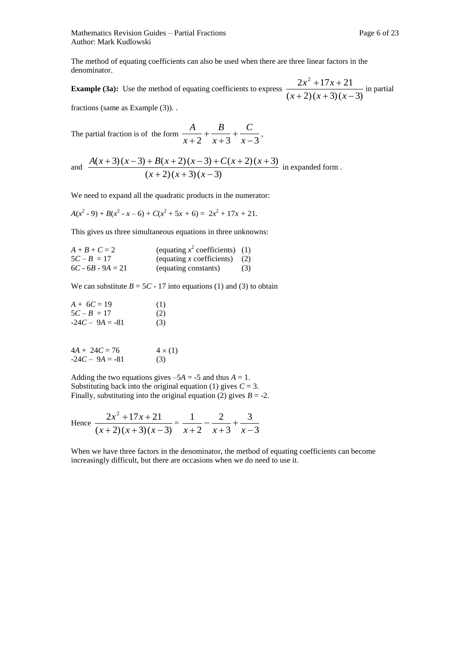Mathematics Revision Guides – Partial Fractions **Page 6** of 23 Author: Mark Kudlowski

The method of equating coefficients can also be used when there are three linear factors in the denominator.

**Example (3a):** Use the method of equating coefficients to express  $\frac{2x+2x+2x+2}{(x+2)(x+3)(x-3)}$  $2x^2 + 17x + 21$  $x+2(x+3)(x +17x +$  $(x+2)(x+3)(x)$  $\frac{x^2+17x+21}{x}$  in partial

fractions (same as Example (3)). .

The partial fraction is of the form 
$$
\frac{A}{x+2} + \frac{B}{x+3} + \frac{C}{x-3}
$$
,

and 
$$
\frac{A(x+3)(x-3)+B(x+2)(x-3)+C(x+2)(x+3)}{(x+2)(x+3)(x-3)}
$$
 in expanded form.

We need to expand all the quadratic products in the numerator:

$$
A(x2-9) + B(x2-x-6) + C(x2+5x+6) = 2x2+17x+21.
$$

This gives us three simultaneous equations in three unknowns:

| $A + B + C = 2$     | (equating $x^2$ coefficients) (1) |     |
|---------------------|-----------------------------------|-----|
| $5C - B = 17$       | (equating x coefficients) $(2)$   |     |
| $6C - 6B - 9A = 21$ | (equating constants)              | (3) |

We can substitute  $B = 5C - 17$  into equations (1) and (3) to obtain

| $A + 6C = 19$     | (1) |
|-------------------|-----|
| $5C - B = 17$     | (2) |
| $-24C - 9A = -81$ | (3) |

$$
4A + 24C = 76 \t 4 \times (1)
$$
  
-24C - 9A = -81 \t(3)

Adding the two equations gives  $-5A = -5$  and thus  $A = 1$ . Substituting back into the original equation (1) gives  $C = 3$ . Finally, substituting into the original equation (2) gives  $B = -2$ .

Hence 
$$
\frac{2x^2 + 17x + 21}{(x+2)(x+3)(x-3)} = \frac{1}{x+2} - \frac{2}{x+3} + \frac{3}{x-3}
$$

When we have three factors in the denominator, the method of equating coefficients can become increasingly difficult, but there are occasions when we do need to use it.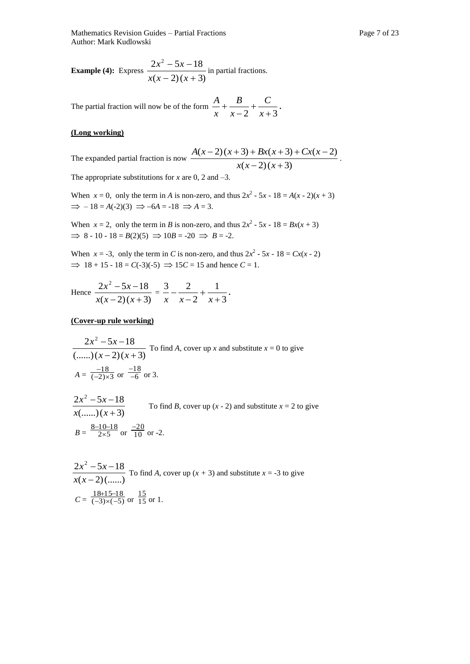**Example (4):** Express  $\frac{2x+2x+2}{x(x-2)(x+3)}$  $2x^2 - 5x - 18$  $(x+2)(x+$  $-5x$  $x(x-2)(x)$  $\frac{x^2 - 5x - 18}{x}$  in partial fractions.

The partial fraction will now be of the form  $\frac{1}{x} + \frac{2}{x-2} + \frac{3}{x+3}$  $\overline{+}$  $\overline{a}$  $^{+}$ *x C x B x*  $\frac{A}{A} + \frac{B}{A} + \frac{C}{A}$ 

#### **(Long working)**

The expanded partial fraction is now 
$$
\frac{A(x-2)(x+3) + Bx(x+3) + Cx(x-2)}{x(x-2)(x+3)}
$$
.  
The appropriate substitutions for x are 0, 2 and -3.

The appropriate substitutions for  $x$  are 0, 2 and  $-3$ .

When  $x = 0$ , only the term in *A* is non-zero, and thus  $2x^2 - 5x - 18 = A(x - 2)(x + 3)$  $\Rightarrow$   $-18 = A(-2)(3) \Rightarrow -6A = -18 \Rightarrow A = 3.$ 

When  $x = 2$ , only the term in *B* is non-zero, and thus  $2x^2 - 5x - 18 = Bx(x + 3)$  $\implies$  8 - 10 - 18 = *B*(2)(5)  $\implies$  10*B* = -20  $\implies$  *B* = -2.

When  $x = -3$ , only the term in *C* is non-zero, and thus  $2x^2 - 5x - 18 = Cx(x - 2)$  $\implies$  18 + 15 - 18 = *C*(-3)(-5)  $\implies$  15*C* = 15 and hence *C* = 1.

Hence 
$$
\frac{2x^2 - 5x - 18}{x(x-2)(x+3)} = \frac{3}{x} - \frac{2}{x-2} + \frac{1}{x+3}.
$$

#### **(Cover-up rule working)**

$$
\frac{2x^2 - 5x - 18}{(......)(x-2)(x+3)}
$$
 To find A, cover up x and substitute  $x = 0$  to give  

$$
A = \frac{-18}{(-2) \times 3}
$$
 or  $\frac{-18}{-6}$  or 3.

$$
\frac{2x^2 - 5x - 18}{x(\dots)(x + 3)}
$$
 To find *B*, cover up (*x* - 2) and substitute *x* = 2 to give  

$$
B = \frac{8-10-18}{2\times5}
$$
 or  $\frac{-20}{10}$  or -2.

$$
\frac{2x^2 - 5x - 18}{x(x - 2)(\dots)}
$$
 To find *A*, cover up (*x* + 3) and substitute *x* = -3 to give  

$$
C = \frac{18+15-18}{(-3)\times(-5)}
$$
 or  $\frac{15}{15}$  or 1.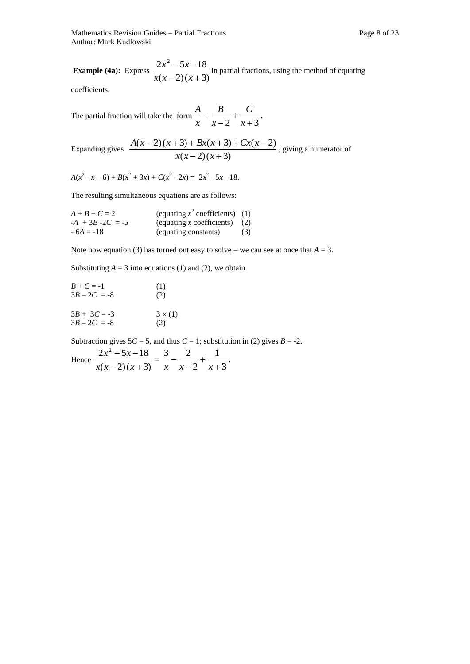Mathematics Revision Guides – Partial Fractions **Page 8** of 23 Author: Mark Kudlowski

**Example (4a):** Express  $\frac{2x+2x+2}{x(x-2)(x+3)}$  $2x^2 - 5x - 18$  $(x+2)(x+$  $-5x$  $x(x-2)(x)$  $\frac{x^2 - 5x - 18}{x^2 - 5x - 18}$  in partial fractions, using the method of equating

coefficients.

The partial fraction will take the form  $\frac{x}{x} + \frac{y}{x-2} + \frac{z}{x+3}$  $\overline{+}$  $\overline{a}$  $^{+}$ *x C x B x*  $\frac{A}{A} + \frac{B}{A} + \frac{C}{A}$ 

Expanding gives 
$$
\frac{A(x-2)(x+3) + Bx(x+3) + Cx(x-2)}{x(x-2)(x+3)}
$$
, giving a numerator of

 $A(x^2 - x - 6) + B(x^2 + 3x) + C(x^2 - 2x) = 2x^2 - 5x - 18.$ 

The resulting simultaneous equations are as follows:

| $A + B + C = 2$     | (equating $x^2$ coefficients) (1) |     |
|---------------------|-----------------------------------|-----|
| $-A + 3B - 2C = -5$ | (equating x coefficients) $(2)$   |     |
| $-6A = -18$         | (equating constants)              | (3) |

Note how equation (3) has turned out easy to solve – we can see at once that  $A = 3$ .

Substituting  $A = 3$  into equations (1) and (2), we obtain

| $B + C = -1$   | (1)          |
|----------------|--------------|
| $3B - 2C = -8$ | (2)          |
| $3B + 3C = -3$ | $3\times(1)$ |
| $3B - 2C = -8$ | (2)          |

Subtraction gives  $5C = 5$ , and thus  $C = 1$ ; substitution in (2) gives  $B = -2$ .

Hence 
$$
\frac{2x^2 - 5x - 18}{x(x-2)(x+3)} = \frac{3}{x} - \frac{2}{x-2} + \frac{1}{x+3}.
$$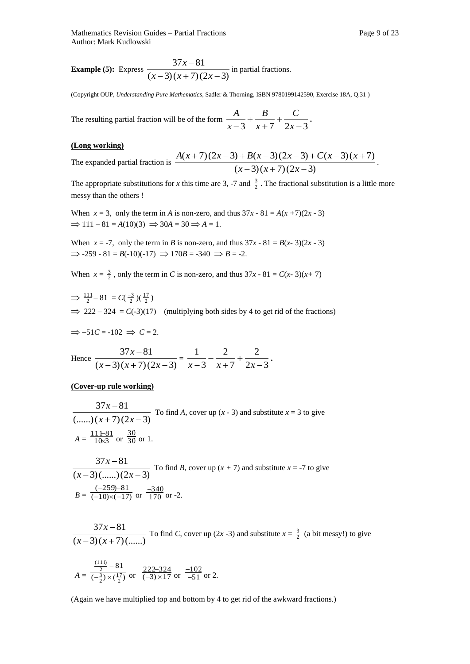**Example (5):** Express 
$$
\frac{37x-81}{(x-3)(x+7)(2x-3)}
$$
 in partial fractions.

(Copyright OUP, *Understanding Pure Mathematics*, Sadler & Thorning, ISBN 9780199142590, Exercise 18A, Q.31 )

The resulting partial fraction will be of the form  $\frac{1}{x-3} + \frac{2}{x+7} + \frac{3}{2x-3}$  $^{+}$  $^{+}$  $\overline{+}$  $-3 \quad x+7 \quad 2x$ *C x B x*  $\frac{A}{\cdot} + \frac{B}{\cdot} + \frac{C}{\cdot}$ 

#### **(Long working)**

The expanded partial fraction is 
$$
\frac{A(x+7)(2x-3) + B(x-3)(2x-3) + C(x-3)(x+7)}{(x-3)(x+7)(2x-3)}
$$
.

The appropriate substitutions for *x* this time are 3, -7 and  $\frac{3}{2}$ . The fractional substitution is a little more messy than the others !

When  $x = 3$ , only the term in *A* is non-zero, and thus  $37x - 81 = A(x + 7)(2x - 3)$  $\Rightarrow$  111 – 81 = *A*(10)(3)  $\Rightarrow$  30*A* = 30  $\Rightarrow$  *A* = 1.

When  $x = -7$ , only the term in *B* is non-zero, and thus  $37x - 81 = B(x-3)(2x-3)$  $\Rightarrow$  -259 - 81 = *B*(-10)(-17)  $\Rightarrow$  170*B* = -340  $\Rightarrow$  *B* = -2.

When  $x = \frac{3}{2}$ , only the term in *C* is non-zero, and thus  $37x - 81 = C(x-3)(x+7)$ 

 $\Rightarrow$   $\frac{111}{2} - 81 = C(\frac{-3}{2})(\frac{17}{2})$  $\implies$  222 – 324 = *C*(-3)(17) (multiplying both sides by 4 to get rid of the fractions)

$$
\Rightarrow -51C = -102 \Rightarrow C = 2.
$$

Hence 
$$
\frac{37x-81}{(x-3)(x+7)(2x-3)} = \frac{1}{x-3} - \frac{2}{x+7} + \frac{2}{2x-3}.
$$

#### **(Cover-up rule working)**

$$
\frac{37x-81}{(......)(x+7)(2x-3)}
$$
 To find *A*, cover up (*x* - 3) and substitute *x* = 3 to give  

$$
A = \frac{11+81}{10\times3}
$$
 or  $\frac{30}{30}$  or 1.

$$
\frac{37x-81}{(x-3)(\dots)(2x-3)}
$$
 To find *B*, cover up  $(x + 7)$  and substitute  $x = -7$  to give  

$$
B = \frac{(-259)-81}{(-10)\times(-17)}
$$
 or  $\frac{-340}{170}$  or -2.

$$
\frac{37x-81}{(x-3)(x+7)(......)}
$$
 To find *C*, cover up (2*x*-3) and substitute  $x = \frac{3}{2}$  (a bit messy!) to give

$$
A = \frac{\frac{(111)}{2} - 81}{(-\frac{3}{2}) \times (\frac{17}{2})} \text{ or } \frac{222 - 324}{(-3) \times 17} \text{ or } \frac{-102}{-51} \text{ or } 2.
$$

(Again we have multiplied top and bottom by 4 to get rid of the awkward fractions.)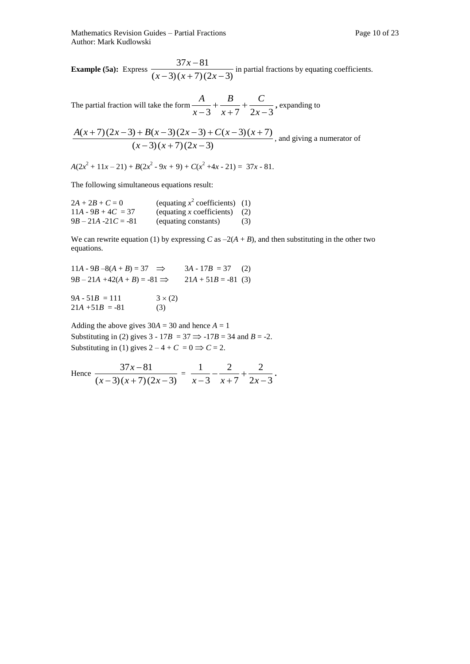The partial fraction will take the form  $\frac{1}{x-3} + \frac{2}{x+7} + \frac{3}{2x-3}$  $\overline{+}$  $^{+}$  $\overline{+}$  $-3x+7$  2x *C x B x*  $\frac{A}{\sqrt{A}} + \frac{B}{\sqrt{B}} + \frac{C}{\sqrt{C}}$ , expanding to

$$
\frac{A(x+7)(2x-3)+B(x-3)(2x-3)+C(x-3)(x+7)}{(x-3)(x+7)(2x-3)}
$$
, and giving a numerator of

 $A(2x^2 + 11x - 21) + B(2x^2 - 9x + 9) + C(x^2 + 4x - 21) = 37x - 81.$ 

The following simultaneous equations result:

| $2A + 2B + C = 0$      | (equating $x^2$ coefficients) (1) |     |
|------------------------|-----------------------------------|-----|
| $11A - 9B + 4C = 37$   | (equating x coefficients) $(2)$   |     |
| $9B - 21A - 21C = -81$ | (equating constants)              | (3) |

We can rewrite equation (1) by expressing  $C$  as  $-2(A + B)$ , and then substituting in the other two equations.

 $11A - 9B - 8(A + B) = 37 \implies 3A - 17B = 37$  (2)  $9B - 21A + 42(A + B) = -81 \implies 21A + 51B = -81$  (3)  $9A - 51B = 111$   $3 \times (2)$ 

 $21A + 51B = -81$  (3)

Adding the above gives  $30A = 30$  and hence  $A = 1$ Substituting in (2) gives  $3 - 17B = 37 \implies -17B = 34$  and  $B = -2$ . Substituting in (1) gives  $2 - 4 + C = 0 \implies C = 2$ .

Hence 
$$
\frac{37x-81}{(x-3)(x+7)(2x-3)} = \frac{1}{x-3} - \frac{2}{x+7} + \frac{2}{2x-3}.
$$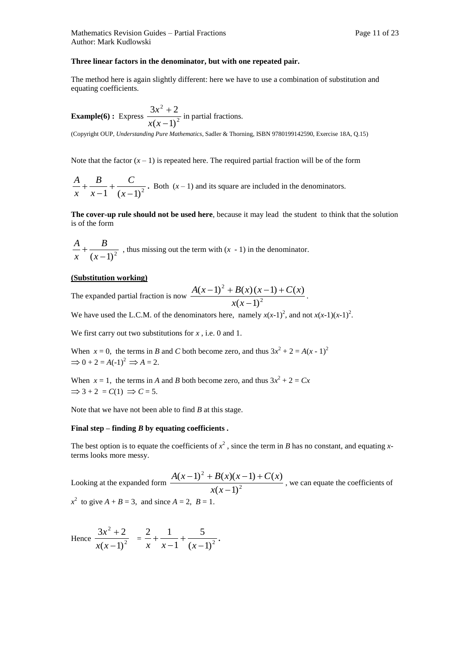#### **Three linear factors in the denominator, but with one repeated pair.**

The method here is again slightly different: here we have to use a combination of substitution and equating coefficients.

**Example(6):** Express 
$$
\frac{3x^2 + 2}{x(x-1)^2}
$$
 in partial fractions.

(Copyright OUP, *Understanding Pure Mathematics*, Sadler & Thorning, ISBN 9780199142590, Exercise 18A, Q.15)

Note that the factor  $(x - 1)$  is repeated here. The required partial fraction will be of the form

$$
\frac{A}{x} + \frac{B}{x-1} + \frac{C}{(x-1)^2}
$$
. Both  $(x-1)$  and its square are included in the denominators.

**The cover-up rule should not be used here**, because it may lead the student to think that the solution is of the form

 $(x-1)^2$  $^{+}$ *x B x*  $\frac{A}{A}$  +  $\frac{B}{A}$ , thus missing out the term with (*x* - 1) in the denominator.

#### **(Substitution working)**

The expanded partial fraction is now  $\frac{2\pi (x-2) - 2}{x(x-1)^2}$ 2  $(x-1)$  $(x-1)^2 + B(x)(x-1) + C(x)$  $\overline{a}$  $(-1)^{2} + B(x)(x-1) +$ *x x*  $\frac{A(x-1)^2 + B(x)(x-1) + C(x)}{x^2}$ .

We have used the L.C.M. of the denominators here, namely  $x(x-1)^2$ , and not  $x(x-1)(x-1)^2$ .

We first carry out two substitutions for *x*, i.e. 0 and 1.

When  $x = 0$ , the terms in *B* and *C* both become zero, and thus  $3x^2 + 2 = A(x - 1)^2$  $\Rightarrow$  0 + 2 = A(-1)<sup>2</sup>  $\Rightarrow$  A = 2.

When  $x = 1$ , the terms in *A* and *B* both become zero, and thus  $3x^2 + 2 = Cx$  $\Rightarrow$  3 + 2 =  $C(1)$   $\Rightarrow$   $C = 5$ .

Note that we have not been able to find *B* at this stage.

#### **Final step – finding** *B* **by equating coefficients .**

The best option is to equate the coefficients of  $x^2$ , since the term in *B* has no constant, and equating *x*terms looks more messy.

Looking at the expanded form  $\frac{2\pi (x-2) + 2\pi (x)}{x(x-1)^2}$ 2  $(x-1)$  $(x-1)^2 + B(x)(x-1) + C(x)$  $\overline{a}$  $(-1)^{2} + B(x)(x-1) +$ *x x*  $\frac{A(x-1)^2 + B(x)(x-1) + C(x)}{B(x-1)^2}$ , we can equate the coefficients of  $x^2$  to give  $A + B = 3$ , and since  $A = 2$ ,  $B = 1$ .

Hence 
$$
\frac{3x^2+2}{x(x-1)^2} = \frac{2}{x} + \frac{1}{x-1} + \frac{5}{(x-1)^2}.
$$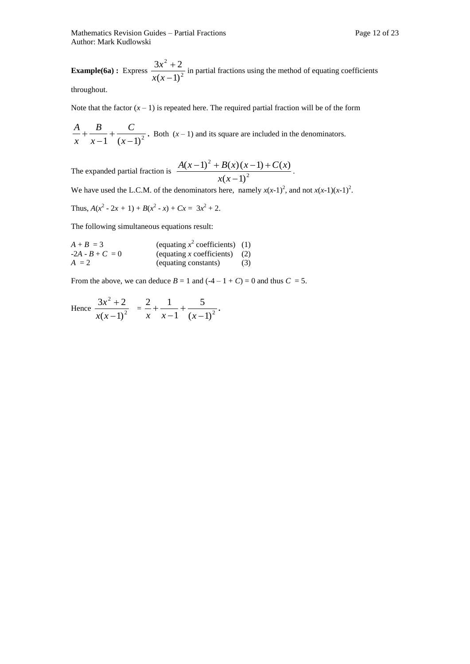Mathematics Revision Guides – Partial Fractions Page 12 of 23 Author: Mark Kudlowski

**Example(6a)**: Express  $\frac{2x+2}{x(x-1)^2}$ 2  $(x-1)$  $3x^2 + 2$  $\overline{a}$  $^{+}$ *x x*  $\frac{x^2+2}{x^2-2}$  in partial fractions using the method of equating coefficients

throughout.

Note that the factor  $(x - 1)$  is repeated here. The required partial fraction will be of the form

 $1 (x-1)^2$  $\ddot{}$  $\overline{a}$  $\ddot{}$ *x C x B x*  $\frac{A}{A} + \frac{B}{A} + \frac{C}{A}$ . Both  $(x-1)$  and its square are included in the denominators.

The expanded partial fraction is 
$$
\frac{A(x-1)^2 + B(x)(x-1) + C(x)}{x(x-1)^2}
$$
.

We have used the L.C.M. of the denominators here, namely  $x(x-1)^2$ , and not  $x(x-1)(x-1)^2$ .

Thus, 
$$
A(x^2 - 2x + 1) + B(x^2 - x) + Cx = 3x^2 + 2
$$
.

The following simultaneous equations result:

| $A + B = 3$       | (equating $x^2$ coefficients) (1) |     |
|-------------------|-----------------------------------|-----|
| $-2A - B + C = 0$ | (equating x coefficients) $(2)$   |     |
| $A = 2$           | (equating constants)              | (3) |

From the above, we can deduce  $B = 1$  and  $(-4 - 1 + C) = 0$  and thus  $C = 5$ .

Hence 
$$
\frac{3x^2+2}{x(x-1)^2} = \frac{2}{x} + \frac{1}{x-1} + \frac{5}{(x-1)^2}.
$$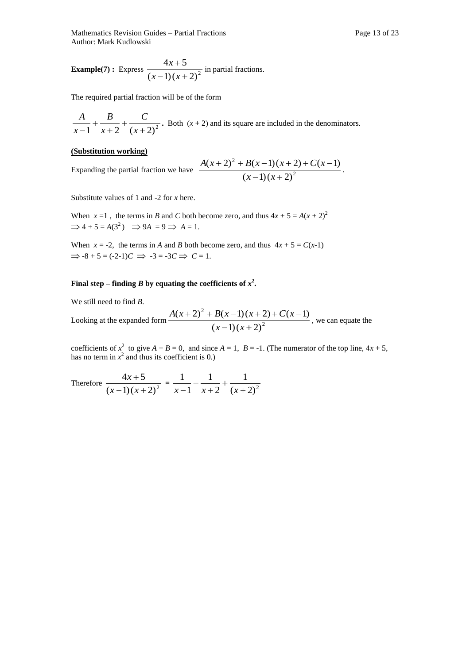Mathematics Revision Guides – Partial Fractions **Page 13 of 23** Page 13 of 23 Author: Mark Kudlowski

**Example(7):** Express 
$$
\frac{4x+5}{(x-1)(x+2)^2}
$$
 in partial fractions.

The required partial fraction will be of the form

$$
\frac{A}{x-1} + \frac{B}{x+2} + \frac{C}{(x+2)^2}
$$
. Both  $(x+2)$  and its square are included in the denominators.

#### **(Substitution working)**

Expanding the partial fraction we have

$$
\frac{A(x+2)^{2}+B(x-1)(x+2)+C(x-1)}{(x-1)(x+2)^{2}}.
$$

Substitute values of 1 and -2 for *x* here.

When  $x = 1$ , the terms in *B* and *C* both become zero, and thus  $4x + 5 = A(x + 2)^2$  $\Rightarrow$  4 + 5 =  $A(3^2)$   $\Rightarrow$  9 $A = 9 \Rightarrow A = 1$ .

When  $x = -2$ , the terms in *A* and *B* both become zero, and thus  $4x + 5 = C(x-1)$  $\Rightarrow$  -8 + 5 = (-2-1)*C*  $\Rightarrow$  -3 = -3*C*  $\Rightarrow$  *C* = 1.

#### **Final step – finding** *B* **by equating the coefficients of**  $x^2$ **.**

We still need to find *B*.

Looking at the expanded form 
$$
\frac{A(x+2)^2 + B(x-1)(x+2) + C(x-1)}{(x-1)(x+2)^2}
$$
, we can equate the

coefficients of  $x^2$  to give  $A + B = 0$ , and since  $A = 1$ ,  $B = -1$ . (The numerator of the top line,  $4x + 5$ , has no term in  $x^2$  and thus its coefficient is 0.)

Therefore 
$$
\frac{4x+5}{(x-1)(x+2)^2} = \frac{1}{x-1} - \frac{1}{x+2} + \frac{1}{(x+2)^2}
$$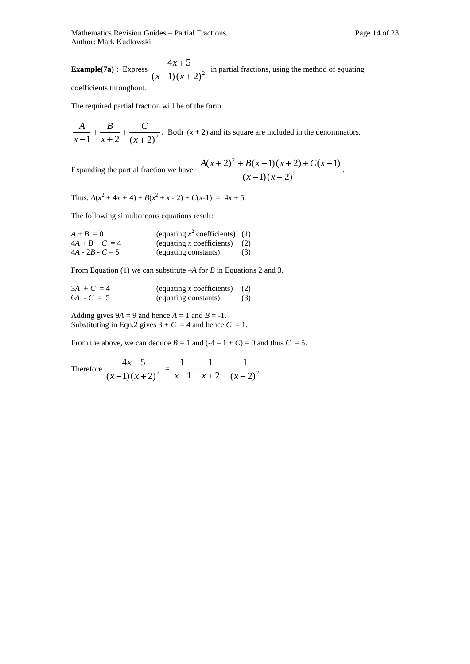Mathematics Revision Guides – Partial Fractions Page 14 of 23 Author: Mark Kudlowski

**Example(7a)**: Express  $\frac{12x+2}{(x-1)(x+2)^2}$  $4x + 5$  $-1(x+$  $\overline{+}$  $(x-1)(x)$  $\frac{x+5}{x^2}$  in partial fractions, using the method of equating coefficients throughout.

The required partial fraction will be of the form

 $1 \, x + 2 \, (x + 2)^2$  $\ddot{}$  $\ddot{}$  $\ddot{}$  $-1$   $x+2$   $(x)$ *C x B x*  $\frac{A}{A}$  +  $\frac{B}{A}$  +  $\frac{C}{A}$ . Both (*x* + 2) and its square are included in the denominators.

Expanding the partial fraction we have  $\frac{2\pi (x+2)(x+2)(x+2)}{(x-1)(x+2)^2}$ 

$$
\frac{A(x+2)^{2}+B(x-1)(x+2)+C(x-1)}{(x-1)(x+2)^{2}}.
$$

Thus,  $A(x^2 + 4x + 4) + B(x^2 + x - 2) + C(x-1) = 4x + 5$ .

The following simultaneous equations result:

| $A + B = 0$       | (equating $x^2$ coefficients) (1) |     |
|-------------------|-----------------------------------|-----|
| $4A + B + C = 4$  | (equating x coefficients) $(2)$   |     |
| $4A - 2B - C = 5$ | (equating constants)              | (3) |

From Equation (1) we can substitute  $-A$  for *B* in Equations 2 and 3.

| $3A + C = 4$ | (equating x coefficients) $(2)$ |     |
|--------------|---------------------------------|-----|
| $6A - C = 5$ | (equating constants)            | (3) |

Adding gives  $9A = 9$  and hence  $A = 1$  and  $B = -1$ . Substituting in Eqn.2 gives  $3 + C = 4$  and hence  $C = 1$ .

From the above, we can deduce  $B = 1$  and  $(-4 - 1 + C) = 0$  and thus  $C = 5$ .

Therefore 
$$
\frac{4x+5}{(x-1)(x+2)^2} = \frac{1}{x-1} - \frac{1}{x+2} + \frac{1}{(x+2)^2}
$$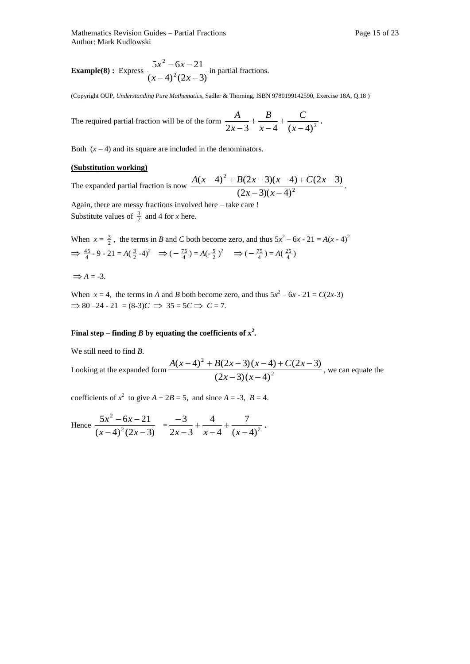Mathematics Revision Guides – Partial Fractions Page 15 of 23 Author: Mark Kudlowski

**Example(8)**: Express  $\frac{2x}{(x-4)^2(2x-3)}$  $5x^2 - 6x - 21$ 2 2  $(-4)^{2}(2x -6x (x-4)^2(2x)$  $\frac{x^2 - 6x - 21}{x^2 - 6x - 21}$  in partial fractions.

(Copyright OUP, *Understanding Pure Mathematics*, Sadler & Thorning, ISBN 9780199142590, Exercise 18A, Q.18 )

The required partial fraction will be of the form  $\frac{1}{2x-3} + \frac{2}{x-4} + \frac{2}{(x-4)^2}$  $\overline{+}$  $\overline{a}$  $\overline{+}$  $-3$   $x-4$   $(x)$ *C x B x*  $\frac{A}{\cdot} + \frac{B}{\cdot} + \frac{C}{\cdot}$ 

Both  $(x - 4)$  and its square are included in the denominators.

#### **(Substitution working)**

The expanded partial fraction is now  $\frac{2\pi (x-2)(x-4)}{(2x-3)(x-4)^2}$ 2  $(2x-3)(x-4)$  $(x-4)^2 + B(2x-3)(x-4) + C(2x-3)$  $(-3)(x (-4)^{2} + B(2x-3)(x-4) + C(2x (x-3)(x)$  $A(x-4)^2 + B(2x-3)(x-4) + C(2x-3)$ . Again, there are messy fractions involved here  $-$  take care

Substitute values of  $\frac{3}{2}$  and 4 for *x* here.

When  $x = \frac{3}{2}$ , the terms in *B* and *C* both become zero, and thus  $5x^2 - 6x - 21 = A(x - 4)^2$  $\Rightarrow \frac{45}{4} - 9 - 21 = A(\frac{3}{2} - 4)^2 \Rightarrow (-\frac{75}{4}) = A(-\frac{5}{2})^2 \Rightarrow (-\frac{75}{4}) = A(\frac{25}{4})$ 

 $\Rightarrow$  *A* = -3.

When  $x = 4$ , the terms in *A* and *B* both become zero, and thus  $5x^2 - 6x - 21 = C(2x-3)$  $\Rightarrow$  80 –24 - 21 = (8-3)*C*  $\Rightarrow$  35 = 5*C*  $\Rightarrow$  *C* = 7.

#### **Final step – finding** *B* **by equating the coefficients of**  $x^2$ **.**

We still need to find *B*.

Looking at the expanded form 
$$
\frac{A(x-4)^2 + B(2x-3)(x-4) + C(2x-3)}{(2x-3)(x-4)^2}
$$
, we can equate the

coefficients of  $x^2$  to give  $A + 2B = 5$ , and since  $A = -3$ ,  $B = 4$ .

Hence 
$$
\frac{5x^2 - 6x - 21}{(x - 4)^2 (2x - 3)} = \frac{-3}{2x - 3} + \frac{4}{x - 4} + \frac{7}{(x - 4)^2}.
$$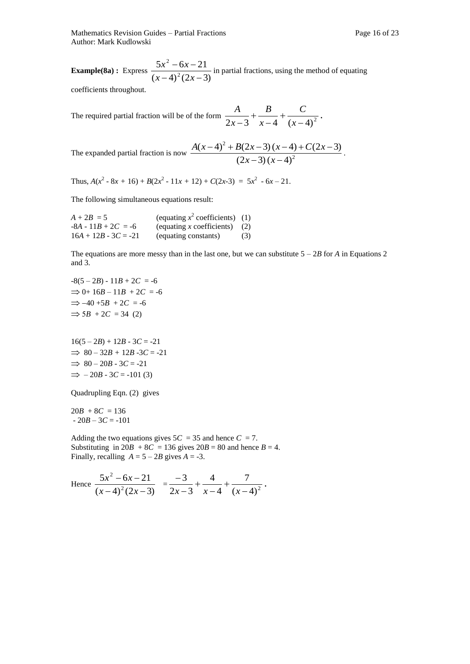Mathematics Revision Guides – Partial Fractions **Page 16** of 23 Author: Mark Kudlowski

**Example(8a)**: Express  $\frac{6x-2x}{(x-4)^2(2x-3)}$  $5x^2 - 6x - 21$ 2 2  $(-4)^{2}(2x -6x (x-4)^2(2x)$  $\frac{x^2 - 6x - 21}{x^2 - 6x - 2}$  in partial fractions, using the method of equating

coefficients throughout.

The required partial fraction will be of the form  $\frac{1}{2x-3} + \frac{1}{x-4} + \frac{1}{(x-4)^2}$  $\overline{+}$  $\overline{a}$  $^{+}$  $-3$   $x-4$   $(x)$ *C x B x*  $\frac{A}{\cdot} + \frac{B}{\cdot} + \frac{C}{\cdot}$ 

The expanded partial fraction is now 
$$
\frac{A(x-4)^2 + B(2x-3)(x-4) + C(2x-3)}{(2x-3)(x-4)^2}
$$
.

Thus,  $A(x^2 - 8x + 16) + B(2x^2 - 11x + 12) + C(2x - 3) = 5x^2 - 6x - 21$ .

The following simultaneous equations result:

| $A + 2B = 5$           | (equating $x^2$ coefficients) (1) |     |
|------------------------|-----------------------------------|-----|
| $-8A - 11B + 2C = -6$  | (equating x coefficients) $(2)$   |     |
| $16A + 12B - 3C = -21$ | (equating constants)              | (3) |

The equations are more messy than in the last one, but we can substitute  $5 - 2B$  for *A* in Equations 2 and 3.

 $-8(5-2B) - 11B + 2C = -6$  $\Rightarrow$  0+ 16*B* – 11*B* + 2*C* = -6  $\Rightarrow -40 + 5B + 2C = -6$  $\Rightarrow$  5*B* + 2*C* = 34 (2)

 $16(5 - 2B) + 12B - 3C = -21$  $\implies$  80 – 32*B* + 12*B* -3*C* = -21  $\implies$  80 – 20*B* - 3*C* = -21  $\implies$  - 20*B* - 3*C* = -101 (3)

Quadrupling Eqn. (2) gives

 $20B + 8C = 136$  $-20B - 3C = -101$ 

Adding the two equations gives  $5C = 35$  and hence  $C = 7$ . Substituting in  $20B + 8C = 136$  gives  $20B = 80$  and hence  $B = 4$ . Finally, recalling  $A = 5 - 2B$  gives  $A = -3$ .

Hence 
$$
\frac{5x^2 - 6x - 21}{(x - 4)^2 (2x - 3)} = \frac{-3}{2x - 3} + \frac{4}{x - 4} + \frac{7}{(x - 4)^2}.
$$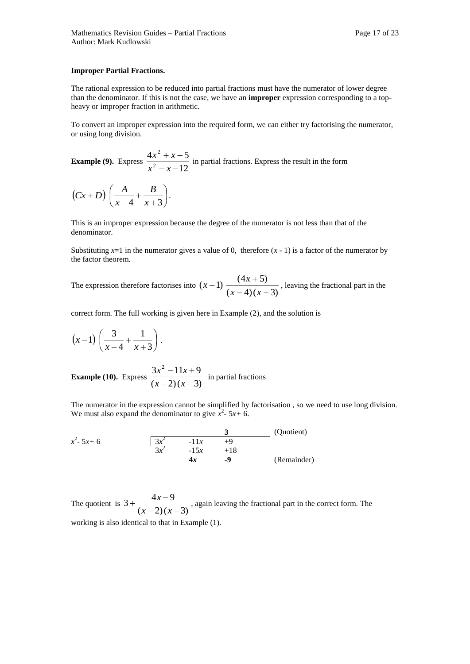#### **Improper Partial Fractions.**

The rational expression to be reduced into partial fractions must have the numerator of lower degree than the denominator. If this is not the case, we have an **improper** expression corresponding to a topheavy or improper fraction in arithmetic.

To convert an improper expression into the required form, we can either try factorising the numerator, or using long division.

**Example (9).** Express  $\frac{12x+12}{x^2-x-12}$  $4x^2 + x - 5$ 2 2  $- x + x$  $x^2 - x$  $\frac{x^2 + x - 5}{x^2 + x - 5}$  in partial fractions. Express the result in the form

$$
(Cx+D)\left(\frac{A}{x-4}+\frac{B}{x+3}\right).
$$

This is an improper expression because the degree of the numerator is not less than that of the denominator.

Substituting  $x=1$  in the numerator gives a value of 0, therefore  $(x - 1)$  is a factor of the numerator by the factor theorem.

The expression therefore factorises into  $(x-1)\frac{(x-2)(x-3)}{(x-4)(x+3)}$  $(x-1)$   $\frac{(4x+5)}{x+2}$  $(-4)(x +$  $(-1) \frac{(4x+1)}{x+1}$  $(x-4)(x)$  $(x-1)$   $\frac{(4x+5)}{(x-2)}$ , leaving the fractional part in the

correct form. The full working is given here in Example (2), and the solution is

$$
(x-1)\left(\frac{3}{x-4}+\frac{1}{x+3}\right).
$$

**Example (10).** Express  $\frac{W}{(x-2)(x-3)}$  $3x^2 - 11x + 9$  $(x-2)(x -11x +$  $(x-2)(x)$  $\frac{x^2-11x+9}{x^2}$  in partial fractions

The numerator in the expression cannot be simplified by factorisation , so we need to use long division. We must also expand the denominator to give  $\hat{x}^2$ - 5*x* + 6.

 $\frac{3}{2}$  (Quotient)  $x^2 - 5x + 6$  3*x*  $3x^2$  -15*x* +18 **4***x* **-9** (Remainder)

The quotient is  $3 + \frac{\ldots}{(x-2)(x-3)}$  $3 + \frac{4x-9}{2}$  $(x-2)(x +\frac{4x-}{x}$  $(x-2)(x)$  $x - 9$ , again leaving the fractional part in the correct form. The working is also identical to that in Example (1).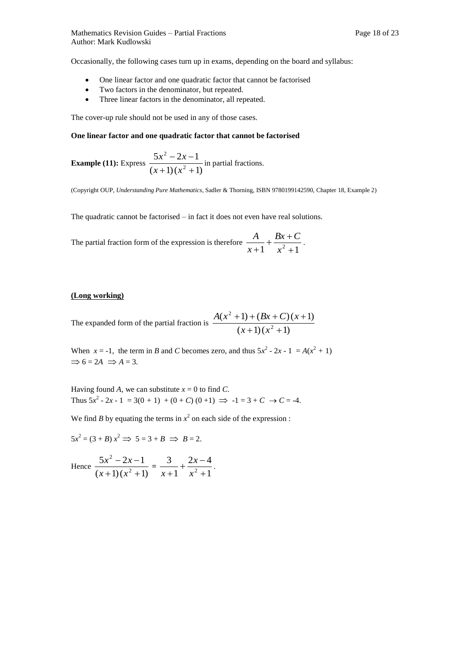Occasionally, the following cases turn up in exams, depending on the board and syllabus:

- One linear factor and one quadratic factor that cannot be factorised
- Two factors in the denominator, but repeated.
- Three linear factors in the denominator, all repeated.

The cover-up rule should not be used in any of those cases.

#### **One linear factor and one quadratic factor that cannot be factorised**

**Example (11):** Express 
$$
\frac{5x^2 - 2x - 1}{(x+1)(x^2 + 1)}
$$
 in partial fractions.

(Copyright OUP, *Understanding Pure Mathematics*, Sadler & Thorning, ISBN 9780199142590, Chapter 18, Example 2)

The quadratic cannot be factorised – in fact it does not even have real solutions.

The partial fraction form of the expression is therefore  $\frac{1}{x+1} + \frac{2}{x^2+1}$  $+\frac{Bx+}{2}$  $x+1$   $x$  $Bx + C$ *x*  $\frac{A}{\cdot}$  +  $\frac{Bx+C}{\cdot}$ .

#### **(Long working)**

The expanded form of the partial fraction is  $\frac{1}{(x+1)(x^2+1)}$  $(x^2 + 1) + (Bx + C)(x + 1)$ 2 2  $+1(x^2 +$  $+1) + (Bx + C)(x +$  $(x+1)(x)$  $A(x^{2} + 1) + (Bx + C)(x^{2} + C)$ 

When  $x = -1$ , the term in *B* and *C* becomes zero, and thus  $5x^2 - 2x - 1 = A(x^2 + 1)$  $\Rightarrow$  6 = 2A  $\Rightarrow$  A = 3.

Having found A, we can substitute  $x = 0$  to find C. Thus  $5x^2 - 2x - 1 = 3(0 + 1) + (0 + C)(0 + 1) \implies -1 = 3 + C \implies C = -4.$ 

We find *B* by equating the terms in  $x^2$  on each side of the expression :

 $5x^2 = (3 + B)x^2 \implies 5 = 3 + B \implies B = 2.$ 

Hence  $\frac{1}{(x+1)(x^2+1)}$  $5x^2 - 2x - 1$ 2 2  $+1(x^2 +$  $-2x (x+1)(x)$  $\frac{x^2 - 2x - 1}{x + 1(x^2 + 1)} = \frac{3}{x + 1} + \frac{2x - 4}{x^2 + 1}$  $2x - 4$ 1 3  $2^2$  +  $+\frac{2x-}{2}$  *x x*  $\frac{x+1}{x+1} + \frac{1}{x^2+1}$ .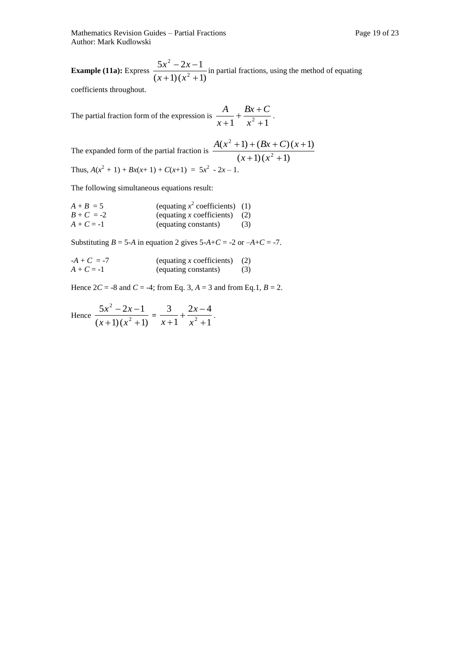**Example (11a):** Express  $\frac{c}{(x+1)(x^2+1)}$  $5x^2 - 2x - 1$ 2 2  $+1(x^2 +$  $-2x (x+1)(x)$  $\frac{x^2 - 2x - 1}{x^2 - 2x - 1}$  in partial fractions, using the method of equating

coefficients throughout.

The partial fraction form of the expression is  $\frac{1}{x+1} + \frac{2}{x^2+1}$  $+\frac{Bx+}{2}$  *x*  $Bx + C$ *x*  $\frac{A}{\cdot}$  +  $\frac{Bx+C}{\cdot}$ .

The expanded form of the partial fraction is 
$$
\frac{A(x^2 + 1) + (Bx + C)(x + 1)}{(x + 1)(x^2 + 1)}
$$
  
Thus,  $A(x^2 + 1) + Bx(x+1) + C(x+1) = 5x^2 - 2x - 1$ .

The following simultaneous equations result:

| $A + B = 5$  | (equating $x^2$ coefficients) (1) |     |
|--------------|-----------------------------------|-----|
| $B + C = -2$ | (equating x coefficients) $(2)$   |     |
| $A + C = -1$ | (equating constants)              | (3) |

Substituting  $B = 5$ -*A* in equation 2 gives  $5$ -*A*+*C* = -2 or -*A*+*C* = -7.

$$
-A + C = -7
$$
 (equating *x* coefficients) (2)  

$$
A + C = -1
$$
 (equating constants) (3)

Hence  $2C = -8$  and  $C = -4$ ; from Eq. 3,  $A = 3$  and from Eq. 1,  $B = 2$ .

Hence 
$$
\frac{5x^2 - 2x - 1}{(x+1)(x^2+1)} = \frac{3}{x+1} + \frac{2x-4}{x^2+1}.
$$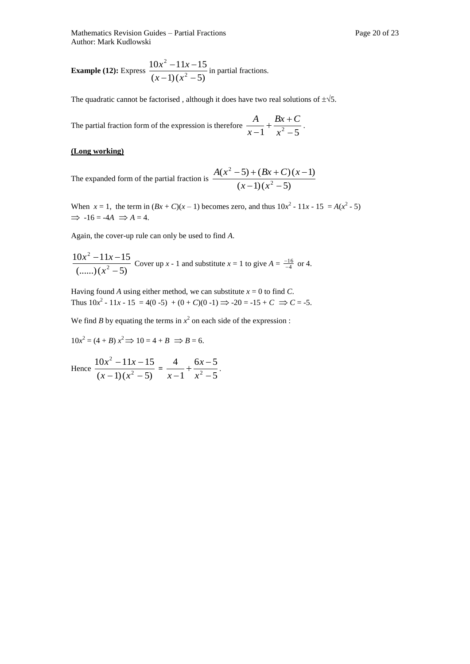**Example (12):** Express  $\frac{2x}{(x-1)(x^2-5)}$  $10x^2 - 11x - 15$ 2 2  $(-1)(x^2 -11x (x-1)(x)$  $\frac{x^2-11x-15}{x^2}$  in partial fractions.

The quadratic cannot be factorised, although it does have two real solutions of  $\pm\sqrt{5}$ .

The partial fraction form of the expression is therefore  $\frac{1}{x-1} + \frac{2x-1}{x^2-5}$  $+\frac{Bx+}{2}$  $-1$   $x$  $Bx + C$ *x*  $\frac{A}{A}$  +  $\frac{Bx+C}{2}$ .

#### **(Long working)**

The expanded form of the partial fraction is  $\frac{1}{x}$ 

$$
\frac{A(x^2-5)+(Bx+C)(x-1)}{(x-1)(x^2-5)}
$$

When  $x = 1$ , the term in  $(Bx + C)(x - 1)$  becomes zero, and thus  $10x^2 - 11x - 15 = A(x^2 - 5)$  $\Rightarrow$  -16 = -4A  $\Rightarrow$  A = 4.

Again, the cover-up rule can only be used to find *A*.

$$
\frac{10x^2 - 11x - 15}{(......)(x^2 - 5)}
$$
 Cover up *x* - 1 and substitute *x* = 1 to give *A* =  $\frac{-16}{-4}$  or 4.

Having found *A* using either method, we can substitute  $x = 0$  to find *C*. Thus  $10x^2 - 11x - 15 = 4(0-5) + (0 + C)(0-1) \Rightarrow -20 = -15 + C \Rightarrow C = -5.$ 

We find *B* by equating the terms in  $x^2$  on each side of the expression :

$$
10x2 = (4 + B)x2 \Rightarrow 10 = 4 + B \Rightarrow B = 6.
$$

Hence 
$$
\frac{10x^2 - 11x - 15}{(x - 1)(x^2 - 5)} = \frac{4}{x - 1} + \frac{6x - 5}{x^2 - 5}.
$$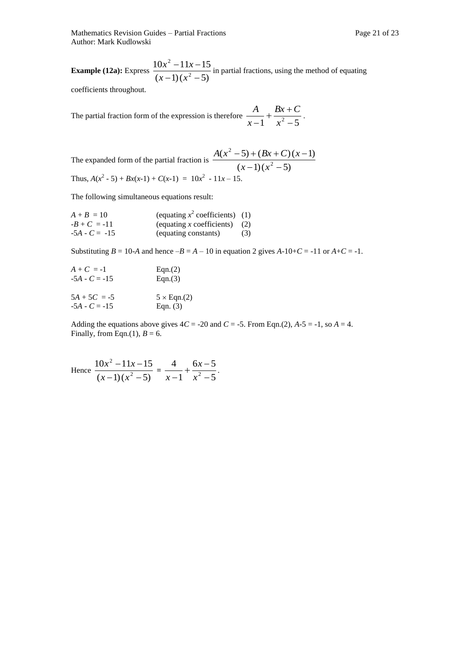**Example (12a):** Express  $\frac{100}{(x-1)(x^2-5)}$  $10x^2 - 11x - 15$ 2 2  $(-1)(x^2 -11x (x-1)(x)$  $\frac{x^2 - 11x - 15}{x^2 - 11x - 15}$  in partial fractions, using the method of equating

coefficients throughout.

The partial fraction form of the expression is therefore  $\frac{1}{x-1} + \frac{1}{x^2-5}$  $+\frac{Bx+}{2}$  $-1$   $x$  $Bx + C$ *x*  $\frac{A}{A}$  +  $\frac{Bx+C}{2}$ .

The expanded form of the partial fraction is 
$$
\frac{A(x^2 - 5) + (Bx + C)(x - 1)}{(x - 1)(x^2 - 5)}
$$
Thus,  $A(x^2 - 5) + Bx(x-1) + C(x-1) = 10x^2 - 11x - 15$ .

The following simultaneous equations result:

| $A + B = 10$    | (equating $x^2$ coefficients) (1) |     |
|-----------------|-----------------------------------|-----|
| $-B+C = -11$    | (equating x coefficients) $(2)$   |     |
| $-5A - C = -15$ | (equating constants)              | (3) |

Substituting  $B = 10$ -A and hence  $-B = A - 10$  in equation 2 gives  $A-10+C = -11$  or  $A+C = -1$ .

| $A + C = -1$    | Eqn.(2)            |
|-----------------|--------------------|
| $-5A - C = -15$ | Eqn.(3)            |
| $5A + 5C = -5$  | $5 \times$ Eqn.(2) |
| $-5A - C = -15$ | Eqn. $(3)$         |

Adding the equations above gives  $4C = -20$  and  $C = -5$ . From Eqn.(2),  $A - 5 = -1$ , so  $A = 4$ . Finally, from Eqn.(1),  $B = 6$ .

Hence 
$$
\frac{10x^2 - 11x - 15}{(x - 1)(x^2 - 5)} = \frac{4}{x - 1} + \frac{6x - 5}{x^2 - 5}.
$$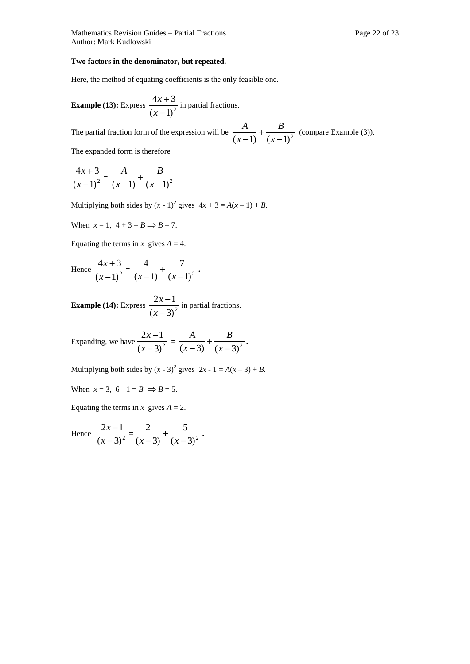Mathematics Revision Guides – Partial Fractions Page 22 of 23 Author: Mark Kudlowski

#### **Two factors in the denominator, but repeated.**

Here, the method of equating coefficients is the only feasible one.

**Example (13):** Express 
$$
\frac{4x+3}{(x-1)^2}
$$
 in partial fractions.

The partial fraction form of the expression will be  $\frac{1}{(x-1)} + \frac{1}{(x-1)^2}$  $\overline{+}$  *x B x*  $\frac{A}{A}$  +  $\frac{B}{A}$  (compare Example (3)).

The expanded form is therefore

$$
\frac{4x+3}{(x-1)^2} = \frac{A}{(x-1)} + \frac{B}{(x-1)^2}
$$

Multiplying both sides by  $(x - 1)^2$  gives  $4x + 3 = A(x - 1) + B$ .

When  $x = 1$ ,  $4 + 3 = B \implies B = 7$ .

Equating the terms in *x* gives  $A = 4$ .

Hence 
$$
\frac{4x+3}{(x-1)^2} = \frac{4}{(x-1)} + \frac{7}{(x-1)^2}.
$$

**Example (14):** Express  $\frac{2x-1}{(x-3)^2}$  $2x - 1$  $\overline{a}$  $\overline{a}$ *x*  $\frac{x-1}{x-2}$  in partial fractions.

Expanding, we have  $\frac{2x-1}{(x-3)^2}$  $2x - 1$  $\overline{a}$  $\overline{\phantom{0}}$ *x*  $\frac{x-1}{(x-3)^2} = \frac{A}{(x-3)} + \frac{B}{(x-3)^2}$  $^{+}$  *x B x*  $\frac{A}{\cdots} + \frac{B}{\cdots}$ 

Multiplying both sides by  $(x - 3)^2$  gives  $2x - 1 = A(x - 3) + B$ .

When  $x = 3$ ,  $6 - 1 = B \implies B = 5$ .

Equating the terms in *x* gives  $A = 2$ .

Hence 
$$
\frac{2x-1}{(x-3)^2} = \frac{2}{(x-3)} + \frac{5}{(x-3)^2}.
$$